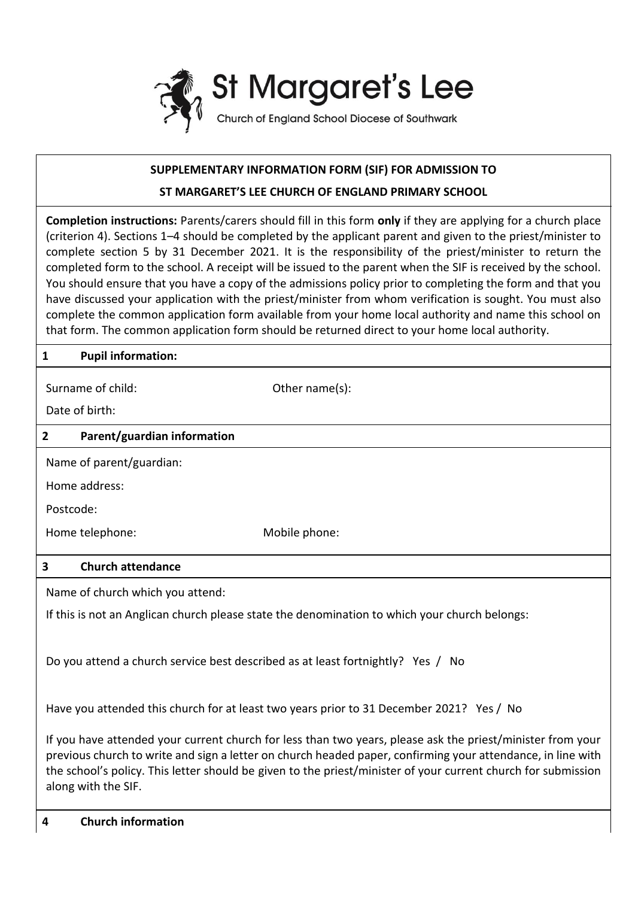

# **SUPPLEMENTARY INFORMATION FORM (SIF) FOR ADMISSION TO**

## **ST MARGARET'S LEE CHURCH OF ENGLAND PRIMARY SCHOOL**

**Completion instructions:** Parents/carers should fill in this form **only** if they are applying for a church place (criterion 4). Sections 1–4 should be completed by the applicant parent and given to the priest/minister to complete section 5 by 31 December 2021. It is the responsibility of the priest/minister to return the completed form to the school. A receipt will be issued to the parent when the SIF is received by the school. You should ensure that you have a copy of the admissions policy prior to completing the form and that you have discussed your application with the priest/minister from whom verification is sought. You must also complete the common application form available from your home local authority and name this school on that form. The common application form should be returned direct to your home local authority.

#### **1 Pupil information:**

| Surname of child: |  |
|-------------------|--|
|                   |  |

Other name(s):

Date of birth:

### **2 Parent/guardian information**

Name of parent/guardian:

Home address:

Postcode:

Home telephone: Mobile phone:

#### **3 Church attendance**

Name of church which you attend:

If this is not an Anglican church please state the denomination to which your church belongs:

Do you attend a church service best described as at least fortnightly? Yes / No

Have you attended this church for at least two years prior to 31 December 2021? Yes / No

If you have attended your current church for less than two years, please ask the priest/minister from your previous church to write and sign a letter on church headed paper, confirming your attendance, in line with the school's policy. This letter should be given to the priest/minister of your current church for submission along with the SIF.